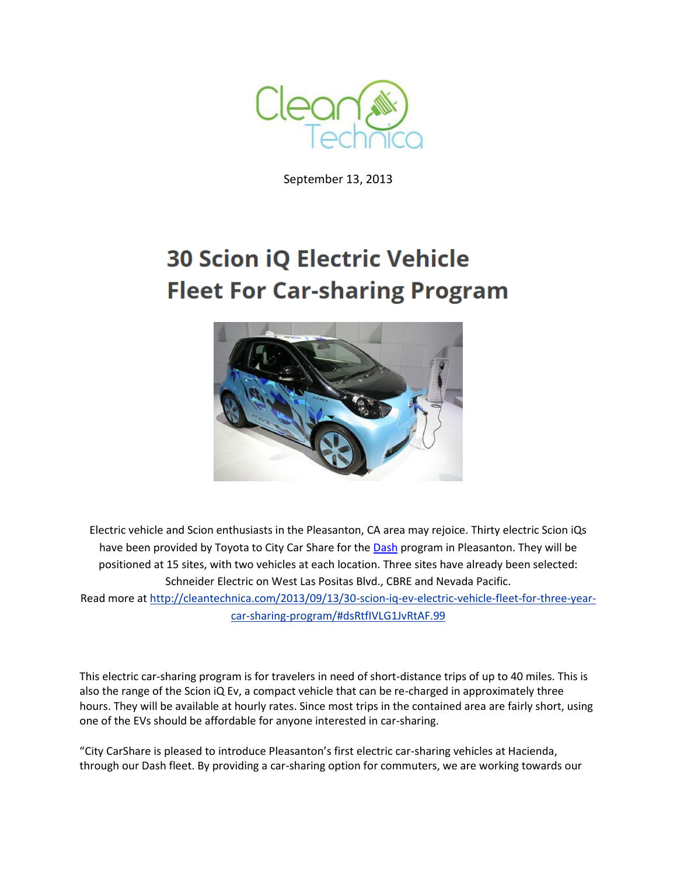

September 13, 2013

## **30 Scion iQ Electric Vehicle Fleet For Car-sharing Program**



Electric vehicle and Scion enthusiasts in the Pleasanton, CA area may rejoice. Thirty electric Scion iQs have been provided by Toyota to City Car Share for th[e Dash](https://www.citycarshare.org/Dash/) program in Pleasanton. They will be positioned at 15 sites, with two vehicles at each location. Three sites have already been selected: Schneider Electric on West Las Positas Blvd., CBRE and Nevada Pacific. Read more a[t http://cleantechnica.com/2013/09/13/30-scion-iq-ev-electric-vehicle-fleet-for-three-year](http://cleantechnica.com/2013/09/13/30-scion-iq-ev-electric-vehicle-fleet-for-three-year-car-sharing-program/#dsRtfIVLG1JvRtAF.99)[car-sharing-program/#dsRtfIVLG1JvRtAF.99](http://cleantechnica.com/2013/09/13/30-scion-iq-ev-electric-vehicle-fleet-for-three-year-car-sharing-program/#dsRtfIVLG1JvRtAF.99)

This electric car-sharing program is for travelers in need of short-distance trips of up to 40 miles. This is also the range of the Scion iQ Ev, a compact vehicle that can be re-charged in approximately three hours. They will be available at hourly rates. Since most trips in the contained area are fairly short, using one of the EVs should be affordable for anyone interested in car-sharing.

"City CarShare is pleased to introduce Pleasanton's first electric car-sharing vehicles at Hacienda, through our Dash fleet. By providing a car-sharing option for commuters, we are working towards our